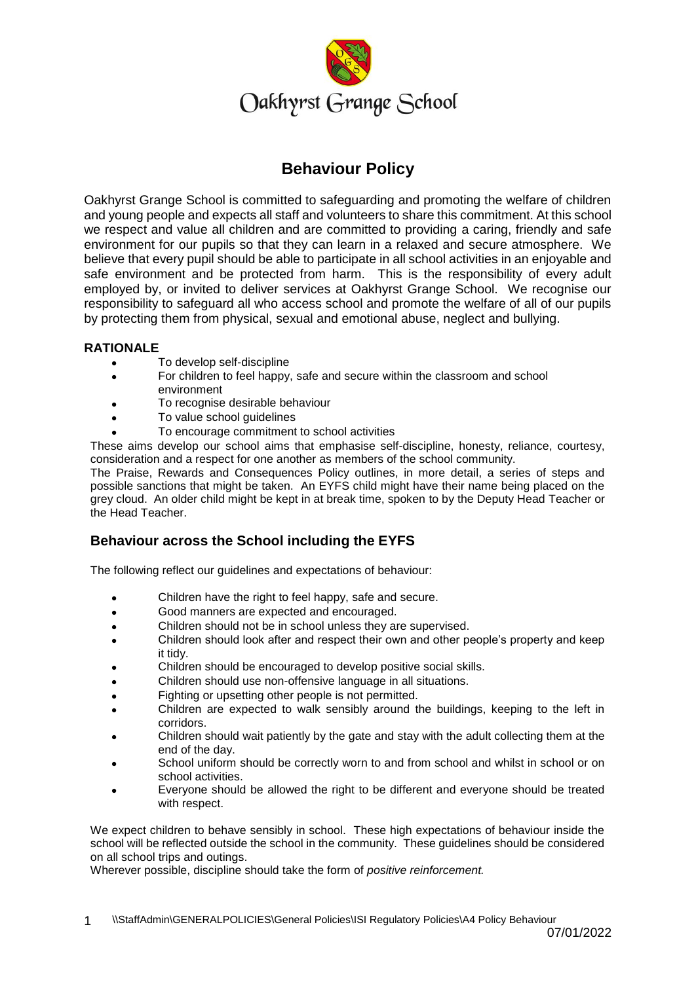

# **Behaviour Policy**

Oakhyrst Grange School is committed to safeguarding and promoting the welfare of children and young people and expects all staff and volunteers to share this commitment. At this school we respect and value all children and are committed to providing a caring, friendly and safe environment for our pupils so that they can learn in a relaxed and secure atmosphere. We believe that every pupil should be able to participate in all school activities in an enjoyable and safe environment and be protected from harm. This is the responsibility of every adult employed by, or invited to deliver services at Oakhyrst Grange School. We recognise our responsibility to safeguard all who access school and promote the welfare of all of our pupils by protecting them from physical, sexual and emotional abuse, neglect and bullying.

## **RATIONALE**

- To develop self-discipline
- For children to feel happy, safe and secure within the classroom and school environment
- To recognise desirable behaviour
- To value school guidelines
- To encourage commitment to school activities

These aims develop our school aims that emphasise self-discipline, honesty, reliance, courtesy, consideration and a respect for one another as members of the school community.

The Praise, Rewards and Consequences Policy outlines, in more detail, a series of steps and possible sanctions that might be taken. An EYFS child might have their name being placed on the grey cloud. An older child might be kept in at break time, spoken to by the Deputy Head Teacher or the Head Teacher.

## **Behaviour across the School including the EYFS**

The following reflect our guidelines and expectations of behaviour:

- Children have the right to feel happy, safe and secure.
- Good manners are expected and encouraged.
- Children should not be in school unless they are supervised.
- Children should look after and respect their own and other people's property and keep it tidy.
- Children should be encouraged to develop positive social skills.
- Children should use non-offensive language in all situations.
- Fighting or upsetting other people is not permitted.
- Children are expected to walk sensibly around the buildings, keeping to the left in corridors.
- Children should wait patiently by the gate and stay with the adult collecting them at the end of the day.
- School uniform should be correctly worn to and from school and whilst in school or on school activities.
- Everyone should be allowed the right to be different and everyone should be treated with respect.

We expect children to behave sensibly in school. These high expectations of behaviour inside the school will be reflected outside the school in the community. These guidelines should be considered on all school trips and outings.

Wherever possible, discipline should take the form of *positive reinforcement.*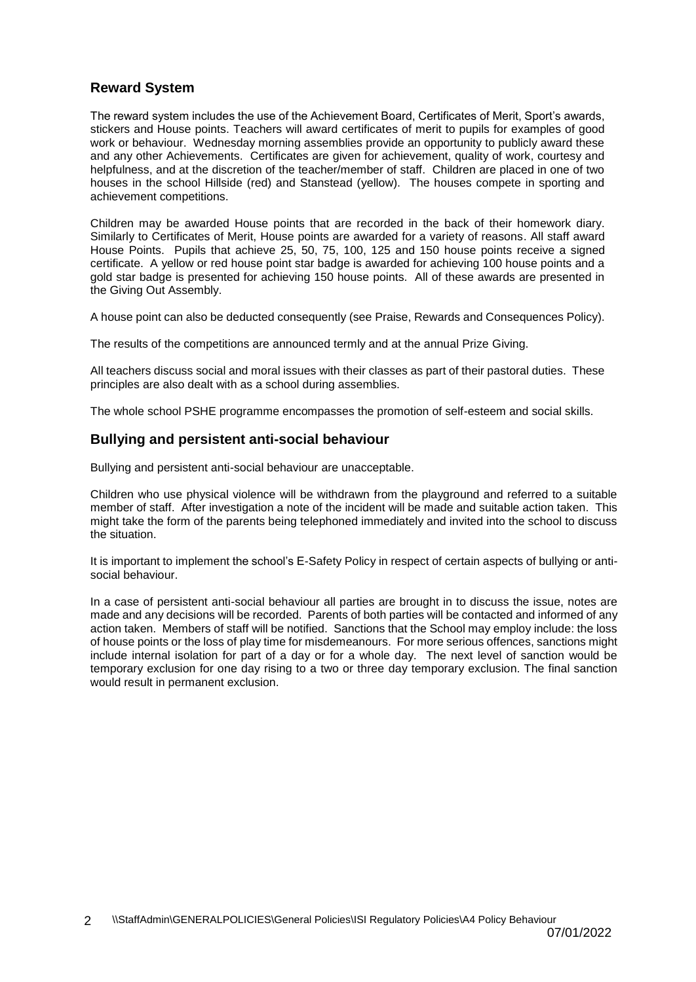## **Reward System**

The reward system includes the use of the Achievement Board, Certificates of Merit, Sport's awards, stickers and House points. Teachers will award certificates of merit to pupils for examples of good work or behaviour. Wednesday morning assemblies provide an opportunity to publicly award these and any other Achievements. Certificates are given for achievement, quality of work, courtesy and helpfulness, and at the discretion of the teacher/member of staff. Children are placed in one of two houses in the school Hillside (red) and Stanstead (yellow). The houses compete in sporting and achievement competitions.

Children may be awarded House points that are recorded in the back of their homework diary. Similarly to Certificates of Merit, House points are awarded for a variety of reasons. All staff award House Points. Pupils that achieve 25, 50, 75, 100, 125 and 150 house points receive a signed certificate. A yellow or red house point star badge is awarded for achieving 100 house points and a gold star badge is presented for achieving 150 house points. All of these awards are presented in the Giving Out Assembly.

A house point can also be deducted consequently (see Praise, Rewards and Consequences Policy).

The results of the competitions are announced termly and at the annual Prize Giving.

All teachers discuss social and moral issues with their classes as part of their pastoral duties. These principles are also dealt with as a school during assemblies.

The whole school PSHE programme encompasses the promotion of self-esteem and social skills.

## **Bullying and persistent anti-social behaviour**

Bullying and persistent anti-social behaviour are unacceptable.

Children who use physical violence will be withdrawn from the playground and referred to a suitable member of staff. After investigation a note of the incident will be made and suitable action taken. This might take the form of the parents being telephoned immediately and invited into the school to discuss the situation.

It is important to implement the school's E-Safety Policy in respect of certain aspects of bullying or antisocial behaviour.

In a case of persistent anti-social behaviour all parties are brought in to discuss the issue, notes are made and any decisions will be recorded. Parents of both parties will be contacted and informed of any action taken. Members of staff will be notified. Sanctions that the School may employ include: the loss of house points or the loss of play time for misdemeanours. For more serious offences, sanctions might include internal isolation for part of a day or for a whole day. The next level of sanction would be temporary exclusion for one day rising to a two or three day temporary exclusion. The final sanction would result in permanent exclusion.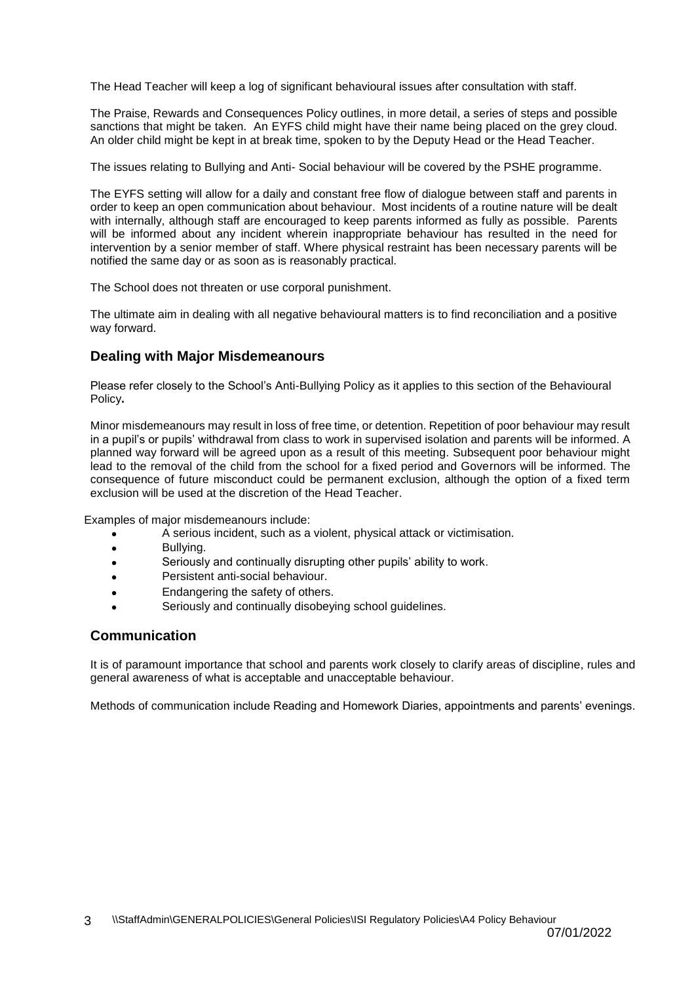The Head Teacher will keep a log of significant behavioural issues after consultation with staff.

The Praise, Rewards and Consequences Policy outlines, in more detail, a series of steps and possible sanctions that might be taken. An EYFS child might have their name being placed on the grey cloud. An older child might be kept in at break time, spoken to by the Deputy Head or the Head Teacher.

The issues relating to Bullying and Anti- Social behaviour will be covered by the PSHE programme.

The EYFS setting will allow for a daily and constant free flow of dialogue between staff and parents in order to keep an open communication about behaviour. Most incidents of a routine nature will be dealt with internally, although staff are encouraged to keep parents informed as fully as possible. Parents will be informed about any incident wherein inappropriate behaviour has resulted in the need for intervention by a senior member of staff. Where physical restraint has been necessary parents will be notified the same day or as soon as is reasonably practical.

The School does not threaten or use corporal punishment.

The ultimate aim in dealing with all negative behavioural matters is to find reconciliation and a positive way forward.

#### **Dealing with Major Misdemeanours**

Please refer closely to the School's Anti-Bullying Policy as it applies to this section of the Behavioural Policy**.** 

Minor misdemeanours may result in loss of free time, or detention. Repetition of poor behaviour may result in a pupil's or pupils' withdrawal from class to work in supervised isolation and parents will be informed. A planned way forward will be agreed upon as a result of this meeting. Subsequent poor behaviour might lead to the removal of the child from the school for a fixed period and Governors will be informed. The consequence of future misconduct could be permanent exclusion, although the option of a fixed term exclusion will be used at the discretion of the Head Teacher.

Examples of major misdemeanours include:

- A serious incident, such as a violent, physical attack or victimisation.
- Bullvina.
- **Seriously and continually disrupting other pupils' ability to work.**
- Persistent anti-social behaviour.
- Endangering the safety of others.
- Seriously and continually disobeying school guidelines.

#### **Communication**

It is of paramount importance that school and parents work closely to clarify areas of discipline, rules and general awareness of what is acceptable and unacceptable behaviour.

Methods of communication include Reading and Homework Diaries, appointments and parents' evenings.